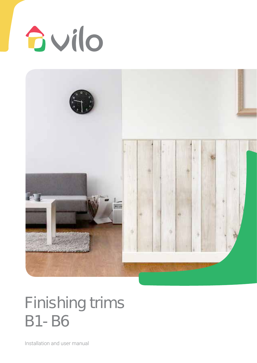



## Finishing trims B1- B6

Installation and user manual